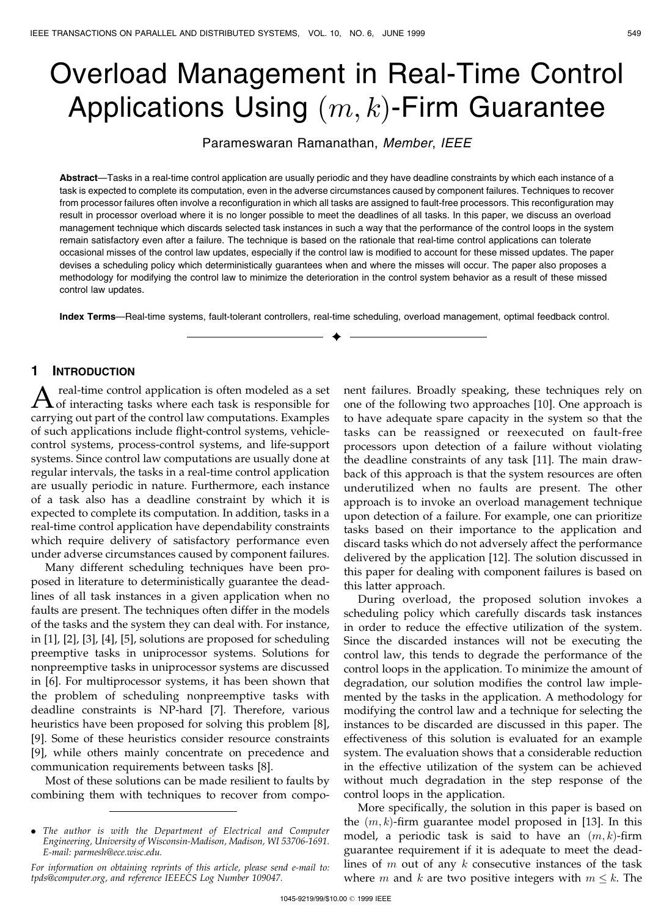# Overload Management in Real-Time Control Applications Using  $(m, k)$ -Firm Guarantee

Parameswaran Ramanathan, Member, IEEE

Abstract—Tasks in a real-time control application are usually periodic and they have deadline constraints by which each instance of a task is expected to complete its computation, even in the adverse circumstances caused by component failures. Techniques to recover from processor failures often involve a reconfiguration in which all tasks are assigned to fault-free processors. This reconfiguration may result in processor overload where it is no longer possible to meet the deadlines of all tasks. In this paper, we discuss an overload management technique which discards selected task instances in such a way that the performance of the control loops in the system remain satisfactory even after a failure. The technique is based on the rationale that real-time control applications can tolerate occasional misses of the control law updates, especially if the control law is modified to account for these missed updates. The paper devises a scheduling policy which deterministically guarantees when and where the misses will occur. The paper also proposes a methodology for modifying the control law to minimize the deterioration in the control system behavior as a result of these missed control law updates.

Index Terms-Real-time systems, fault-tolerant controllers, real-time scheduling, overload management, optimal feedback control.  $\blacklozenge$ 

# 1 INTRODUCTION

A real-time control application is often modeled as a set<br>of interacting tasks where each task is responsible for carrying out part of the control law computations. Examples of such applications include flight-control systems, vehiclecontrol systems, process-control systems, and life-support systems. Since control law computations are usually done at regular intervals, the tasks in a real-time control application are usually periodic in nature. Furthermore, each instance of a task also has a deadline constraint by which it is expected to complete its computation. In addition, tasks in a real-time control application have dependability constraints which require delivery of satisfactory performance even under adverse circumstances caused by component failures.

Many different scheduling techniques have been proposed in literature to deterministically guarantee the deadlines of all task instances in a given application when no faults are present. The techniques often differ in the models of the tasks and the system they can deal with. For instance, in [1], [2], [3], [4], [5], solutions are proposed for scheduling preemptive tasks in uniprocessor systems. Solutions for nonpreemptive tasks in uniprocessor systems are discussed in [6]. For multiprocessor systems, it has been shown that the problem of scheduling nonpreemptive tasks with deadline constraints is NP-hard [7]. Therefore, various heuristics have been proposed for solving this problem [8], [9]. Some of these heuristics consider resource constraints [9], while others mainly concentrate on precedence and communication requirements between tasks [8].

Most of these solutions can be made resilient to faults by combining them with techniques to recover from component failures. Broadly speaking, these techniques rely on one of the following two approaches [10]. One approach is to have adequate spare capacity in the system so that the tasks can be reassigned or reexecuted on fault-free processors upon detection of a failure without violating the deadline constraints of any task [11]. The main drawback of this approach is that the system resources are often underutilized when no faults are present. The other approach is to invoke an overload management technique upon detection of a failure. For example, one can prioritize tasks based on their importance to the application and discard tasks which do not adversely affect the performance delivered by the application [12]. The solution discussed in this paper for dealing with component failures is based on this latter approach.

During overload, the proposed solution invokes a scheduling policy which carefully discards task instances in order to reduce the effective utilization of the system. Since the discarded instances will not be executing the control law, this tends to degrade the performance of the control loops in the application. To minimize the amount of degradation, our solution modifies the control law implemented by the tasks in the application. A methodology for modifying the control law and a technique for selecting the instances to be discarded are discussed in this paper. The effectiveness of this solution is evaluated for an example system. The evaluation shows that a considerable reduction in the effective utilization of the system can be achieved without much degradation in the step response of the control loops in the application.

More specifically, the solution in this paper is based on the  $(m, k)$ -firm guarantee model proposed in [13]. In this model, a periodic task is said to have an  $(m, k)$ -firm guarantee requirement if it is adequate to meet the deadlines of  $m$  out of any  $k$  consecutive instances of the task where *m* and *k* are two positive integers with  $m \leq k$ . The

<sup>.</sup> The author is with the Department of Electrical and Computer Engineering, University of Wisconsin-Madison, Madison, WI 53706-1691. E-mail: parmesh@ece.wisc.edu.

For information on obtaining reprints of this article, please send e-mail to: tpds@computer.org, and reference IEEECS Log Number 109047.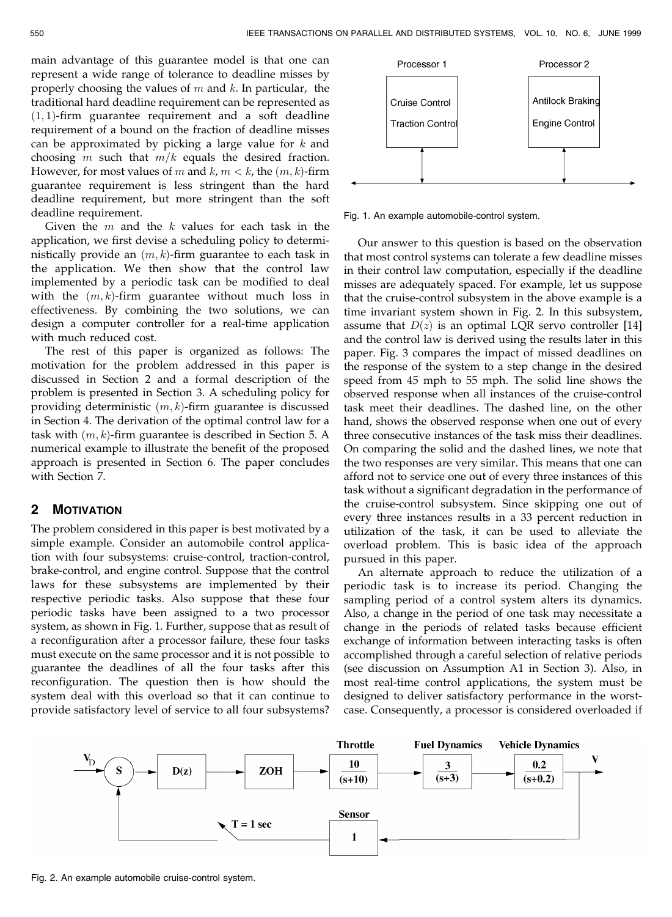main advantage of this guarantee model is that one can represent a wide range of tolerance to deadline misses by properly choosing the values of  $m$  and  $k$ . In particular, the traditional hard deadline requirement can be represented as  $(1, 1)$ -firm guarantee requirement and a soft deadline requirement of a bound on the fraction of deadline misses can be approximated by picking a large value for  $k$  and choosing m such that  $m/k$  equals the desired fraction. However, for most values of m and  $k, m < k$ , the  $(m, k)$ -firm guarantee requirement is less stringent than the hard deadline requirement, but more stringent than the soft deadline requirement.

Given the  $m$  and the  $k$  values for each task in the application, we first devise a scheduling policy to deterministically provide an  $(m, k)$ -firm guarantee to each task in the application. We then show that the control law implemented by a periodic task can be modified to deal with the  $(m, k)$ -firm guarantee without much loss in effectiveness. By combining the two solutions, we can design a computer controller for a real-time application with much reduced cost.

The rest of this paper is organized as follows: The motivation for the problem addressed in this paper is discussed in Section 2 and a formal description of the problem is presented in Section 3. A scheduling policy for providing deterministic  $(m, k)$ -firm guarantee is discussed in Section 4. The derivation of the optimal control law for a task with  $(m, k)$ -firm guarantee is described in Section 5. A numerical example to illustrate the benefit of the proposed approach is presented in Section 6. The paper concludes with Section 7.

#### 2 MOTIVATION

The problem considered in this paper is best motivated by a simple example. Consider an automobile control application with four subsystems: cruise-control, traction-control, brake-control, and engine control. Suppose that the control laws for these subsystems are implemented by their respective periodic tasks. Also suppose that these four periodic tasks have been assigned to a two processor system, as shown in Fig. 1. Further, suppose that as result of a reconfiguration after a processor failure, these four tasks must execute on the same processor and it is not possible to guarantee the deadlines of all the four tasks after this reconfiguration. The question then is how should the system deal with this overload so that it can continue to provide satisfactory level of service to all four subsystems?



Fig. 1. An example automobile-control system.

Our answer to this question is based on the observation that most control systems can tolerate a few deadline misses in their control law computation, especially if the deadline misses are adequately spaced. For example, let us suppose that the cruise-control subsystem in the above example is a time invariant system shown in Fig. 2. In this subsystem, assume that  $D(z)$  is an optimal LQR servo controller [14] and the control law is derived using the results later in this paper. Fig. 3 compares the impact of missed deadlines on the response of the system to a step change in the desired speed from 45 mph to 55 mph. The solid line shows the observed response when all instances of the cruise-control task meet their deadlines. The dashed line, on the other hand, shows the observed response when one out of every three consecutive instances of the task miss their deadlines. On comparing the solid and the dashed lines, we note that the two responses are very similar. This means that one can afford not to service one out of every three instances of this task without a significant degradation in the performance of the cruise-control subsystem. Since skipping one out of every three instances results in a 33 percent reduction in utilization of the task, it can be used to alleviate the overload problem. This is basic idea of the approach pursued in this paper.

An alternate approach to reduce the utilization of a periodic task is to increase its period. Changing the sampling period of a control system alters its dynamics. Also, a change in the period of one task may necessitate a change in the periods of related tasks because efficient exchange of information between interacting tasks is often accomplished through a careful selection of relative periods (see discussion on Assumption A1 in Section 3). Also, in most real-time control applications, the system must be designed to deliver satisfactory performance in the worstcase. Consequently, a processor is considered overloaded if



Fig. 2. An example automobile cruise-control system.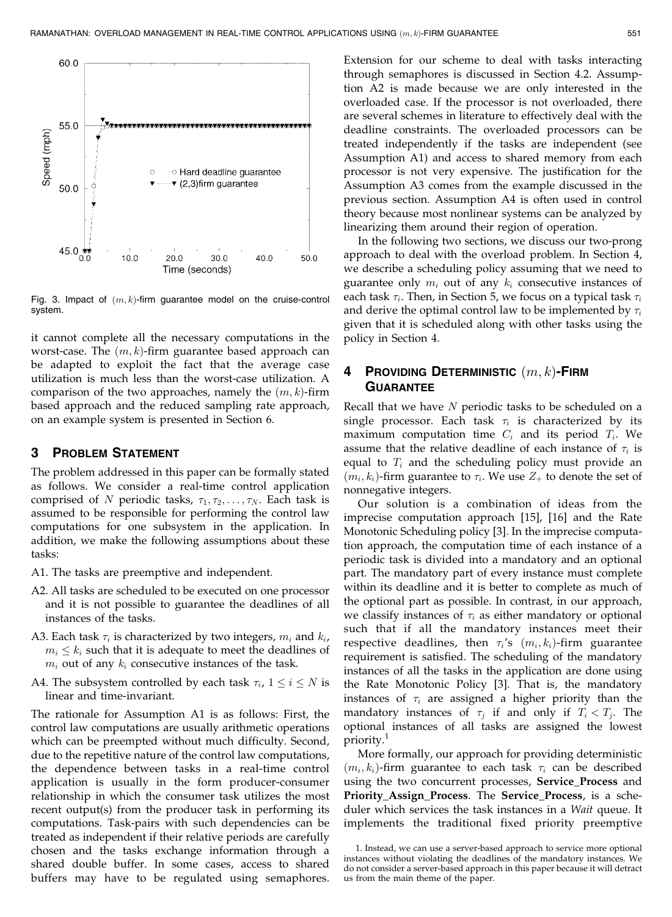

Fig. 3. Impact of  $(m, k)$ -firm guarantee model on the cruise-control system.

it cannot complete all the necessary computations in the worst-case. The  $(m, k)$ -firm guarantee based approach can be adapted to exploit the fact that the average case utilization is much less than the worst-case utilization. A comparison of the two approaches, namely the  $(m, k)$ -firm based approach and the reduced sampling rate approach, on an example system is presented in Section 6.

## 3 PROBLEM STATEMENT

The problem addressed in this paper can be formally stated as follows. We consider a real-time control application comprised of N periodic tasks,  $\tau_1, \tau_2, \ldots, \tau_N$ . Each task is assumed to be responsible for performing the control law computations for one subsystem in the application. In addition, we make the following assumptions about these tasks:

- A1. The tasks are preemptive and independent.
- A2. All tasks are scheduled to be executed on one processor and it is not possible to guarantee the deadlines of all instances of the tasks.
- A3. Each task  $\tau_i$  is characterized by two integers,  $m_i$  and  $k_i$ ,  $m_i \leq k_i$  such that it is adequate to meet the deadlines of  $m_i$  out of any  $k_i$  consecutive instances of the task.
- A4. The subsystem controlled by each task  $\tau_i$ ,  $1 \le i \le N$  is linear and time-invariant.

The rationale for Assumption A1 is as follows: First, the control law computations are usually arithmetic operations which can be preempted without much difficulty. Second, due to the repetitive nature of the control law computations, the dependence between tasks in a real-time control application is usually in the form producer-consumer relationship in which the consumer task utilizes the most recent output(s) from the producer task in performing its computations. Task-pairs with such dependencies can be treated as independent if their relative periods are carefully chosen and the tasks exchange information through a shared double buffer. In some cases, access to shared buffers may have to be regulated using semaphores.

Extension for our scheme to deal with tasks interacting through semaphores is discussed in Section 4.2. Assumption A2 is made because we are only interested in the overloaded case. If the processor is not overloaded, there are several schemes in literature to effectively deal with the deadline constraints. The overloaded processors can be treated independently if the tasks are independent (see Assumption A1) and access to shared memory from each processor is not very expensive. The justification for the Assumption A3 comes from the example discussed in the previous section. Assumption A4 is often used in control theory because most nonlinear systems can be analyzed by linearizing them around their region of operation.

In the following two sections, we discuss our two-prong approach to deal with the overload problem. In Section 4, we describe a scheduling policy assuming that we need to guarantee only  $m_i$  out of any  $k_i$  consecutive instances of each task  $\tau_i$ . Then, in Section 5, we focus on a typical task  $\tau_i$ and derive the optimal control law to be implemented by  $\tau_i$ given that it is scheduled along with other tasks using the policy in Section 4.

## 4 Providing Deterministic  $(m, k)$ -Firm **GUARANTEE**

Recall that we have  $N$  periodic tasks to be scheduled on a single processor. Each task  $\tau_i$  is characterized by its maximum computation time  $C_i$  and its period  $T_i$ . We assume that the relative deadline of each instance of  $\tau_i$  is equal to  $T_i$  and the scheduling policy must provide an  $(m_i, k_i)$ -firm guarantee to  $\tau_i$ . We use  $Z_+$  to denote the set of nonnegative integers.

Our solution is a combination of ideas from the imprecise computation approach [15], [16] and the Rate Monotonic Scheduling policy [3]. In the imprecise computation approach, the computation time of each instance of a periodic task is divided into a mandatory and an optional part. The mandatory part of every instance must complete within its deadline and it is better to complete as much of the optional part as possible. In contrast, in our approach, we classify instances of  $\tau_i$  as either mandatory or optional such that if all the mandatory instances meet their respective deadlines, then  $\tau_i$ 's  $(m_i, k_i)$ -firm guarantee requirement is satisfied. The scheduling of the mandatory instances of all the tasks in the application are done using the Rate Monotonic Policy [3]. That is, the mandatory instances of  $\tau_i$  are assigned a higher priority than the mandatory instances of  $\tau_i$  if and only if  $T_i < T_j$ . The optional instances of all tasks are assigned the lowest priority.<sup>1</sup>

More formally, our approach for providing deterministic  $(m_i, k_i)$ -firm guarantee to each task  $\tau_i$  can be described using the two concurrent processes, Service\_Process and Priority\_Assign\_Process. The Service\_Process, is a scheduler which services the task instances in a Wait queue. It implements the traditional fixed priority preemptive

<sup>1.</sup> Instead, we can use a server-based approach to service more optional instances without violating the deadlines of the mandatory instances. We do not consider a server-based approach in this paper because it will detract us from the main theme of the paper.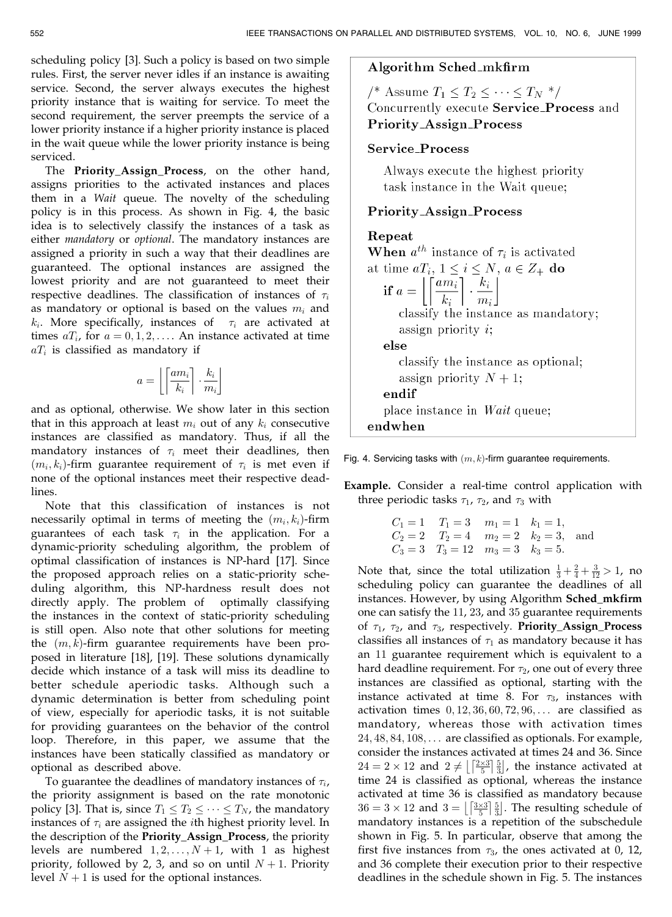scheduling policy [3]. Such a policy is based on two simple rules. First, the server never idles if an instance is awaiting service. Second, the server always executes the highest priority instance that is waiting for service. To meet the second requirement, the server preempts the service of a lower priority instance if a higher priority instance is placed in the wait queue while the lower priority instance is being serviced.

The Priority\_Assign\_Process, on the other hand, assigns priorities to the activated instances and places them in a Wait queue. The novelty of the scheduling policy is in this process. As shown in Fig. 4, the basic idea is to selectively classify the instances of a task as either mandatory or optional. The mandatory instances are assigned a priority in such a way that their deadlines are guaranteed. The optional instances are assigned the lowest priority and are not guaranteed to meet their respective deadlines. The classification of instances of  $\tau_i$ as mandatory or optional is based on the values  $m_i$  and  $k_i$ . More specifically, instances of  $\tau_i$  are activated at times  $aT_i$ , for  $a = 0, 1, 2, \ldots$ . An instance activated at time  $aT_i$  is classified as mandatory if

$$
a = \left\lfloor \left\lceil \frac{am_i}{k_i} \right\rceil \cdot \frac{k_i}{m_i} \right\rfloor
$$

and as optional, otherwise. We show later in this section that in this approach at least  $m_i$  out of any  $k_i$  consecutive instances are classified as mandatory. Thus, if all the mandatory instances of  $\tau_i$  meet their deadlines, then  $(m_i, k_i)$ -firm guarantee requirement of  $\tau_i$  is met even if none of the optional instances meet their respective deadlines.

Note that this classification of instances is not necessarily optimal in terms of meeting the  $(m_i, k_i)$ -firm guarantees of each task  $\tau_i$  in the application. For a dynamic-priority scheduling algorithm, the problem of optimal classification of instances is NP-hard [17]. Since the proposed approach relies on a static-priority scheduling algorithm, this NP-hardness result does not directly apply. The problem of optimally classifying the instances in the context of static-priority scheduling is still open. Also note that other solutions for meeting the  $(m, k)$ -firm guarantee requirements have been proposed in literature [18], [19]. These solutions dynamically decide which instance of a task will miss its deadline to better schedule aperiodic tasks. Although such a dynamic determination is better from scheduling point of view, especially for aperiodic tasks, it is not suitable for providing guarantees on the behavior of the control loop. Therefore, in this paper, we assume that the instances have been statically classified as mandatory or optional as described above.

To guarantee the deadlines of mandatory instances of  $\tau_i$ , the priority assignment is based on the rate monotonic policy [3]. That is, since  $T_1 \leq T_2 \leq \cdots \leq T_N$ , the mandatory instances of  $\tau_i$  are assigned the *i*th highest priority level. In the description of the Priority\_Assign\_Process, the priority levels are numbered  $1, 2, \ldots, N + 1$ , with 1 as highest priority, followed by 2, 3, and so on until  $N + 1$ . Priority level  $N + 1$  is used for the optional instances.

## Algorithm Sched\_mkfirm

/\* Assume  $T_1 \leq T_2 \leq \cdots \leq T_N$  \*/ Concurrently execute Service\_Process and **Priority\_Assign\_Process** 

## Service\_Process

Always execute the highest priority task instance in the Wait queue;

## Priority\_Assign\_Process

## Repeat

**When**  $a^{th}$  instance of  $\tau_i$  is activated at time  $aT_i$ ,  $1 \leq i \leq N$ ,  $a \in Z_+$  do if  $a = \left[ \left[ \frac{a m_i}{k_i} \right] \cdot \frac{k_i}{m_i} \right]$ classify the instance as mandatory; assign priority  $i$ ; else classify the instance as optional; assign priority  $N+1$ ; endif place instance in *Wait* queue; endwhen

Fig. 4. Servicing tasks with  $(m, k)$ -firm guarantee requirements.

Example. Consider a real-time control application with three periodic tasks  $\tau_1$ ,  $\tau_2$ , and  $\tau_3$  with

> $C_1 = 1$   $T_1 = 3$   $m_1 = 1$   $k_1 = 1$ ,  $C_2 = 2$   $T_2 = 4$   $m_2 = 2$   $k_2 = 3$ , and  $C_3 = 3$   $T_3 = 12$   $m_3 = 3$   $k_3 = 5$ .

Note that, since the total utilization  $\frac{1}{3} + \frac{2}{4} + \frac{3}{12} > 1$ , no scheduling policy can guarantee the deadlines of all instances. However, by using Algorithm Sched\_mkfirm one can satisfy the 11, 23, and 35 guarantee requirements of  $\tau_1$ ,  $\tau_2$ , and  $\tau_3$ , respectively. Priority\_Assign\_Process classifies all instances of  $\tau_1$  as mandatory because it has an 11 guarantee requirement which is equivalent to a hard deadline requirement. For  $\tau_2$ , one out of every three instances are classified as optional, starting with the instance activated at time 8. For  $\tau_3$ , instances with activation times  $0, 12, 36, 60, 72, 96, \ldots$  are classified as mandatory, whereas those with activation times  $24, 48, 84, 108, \ldots$  are classified as optionals. For example, consider the instances activated at times 24 and 36. Since  $24 = 2 \times 12$  and  $2 \neq \left[\frac{2 \times 3}{5}\right]\frac{5}{3}$ , the instance activated at time 24 is classified as optional, whereas the instance activated at time 36 is classified as mandatory because  $36 = 3 \times 12$  and  $3 = \left[\frac{3 \times 3}{5}\right]\frac{5}{3}$ . The resulting schedule of mandatory instances is a repetition of the subschedule shown in Fig. 5. In particular, observe that among the first five instances from  $\tau_3$ , the ones activated at 0, 12, and 36 complete their execution prior to their respective deadlines in the schedule shown in Fig. 5. The instances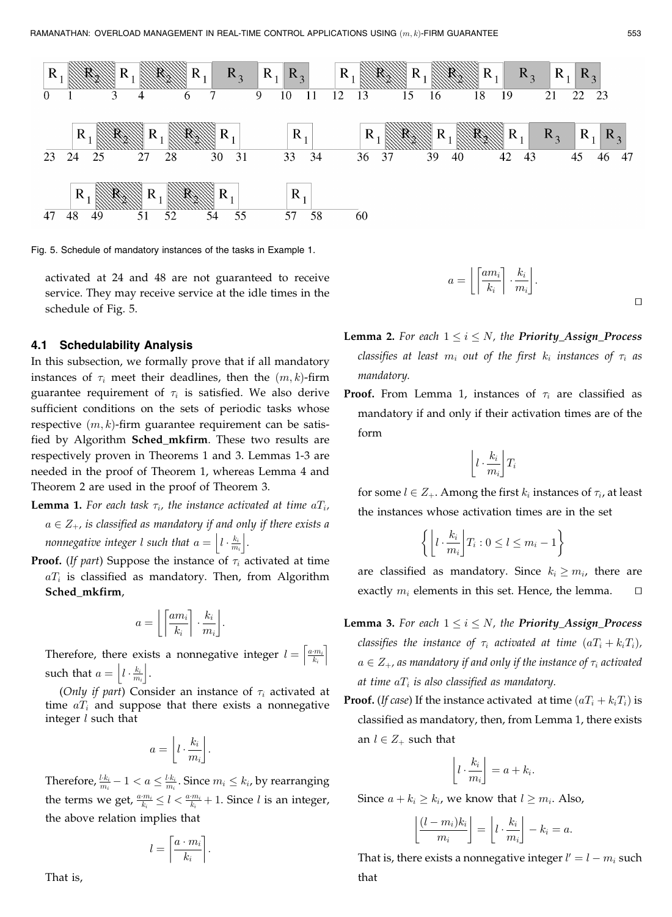

mandatory.

Fig. 5. Schedule of mandatory instances of the tasks in Example 1.

activated at 24 and 48 are not guaranteed to receive service. They may receive service at the idle times in the schedule of Fig. 5.

#### 4.1 Schedulability Analysis

In this subsection, we formally prove that if all mandatory instances of  $\tau_i$  meet their deadlines, then the  $(m, k)$ -firm guarantee requirement of  $\tau_i$  is satisfied. We also derive sufficient conditions on the sets of periodic tasks whose respective  $(m, k)$ -firm guarantee requirement can be satisfied by Algorithm Sched\_mkfirm. These two results are respectively proven in Theorems 1 and 3. Lemmas 1-3 are needed in the proof of Theorem 1, whereas Lemma 4 and Theorem 2 are used in the proof of Theorem 3.

- **Lemma 1.** For each task  $\tau_i$ , the instance activated at time  $aT_i$ ,  $a \in Z_+$ , is classified as mandatory if and only if there exists a nonnegative integer  $l$  such that  $a = \left| l \cdot \frac{k_i}{m_i} \right|$ .
- **Proof.** (If part) Suppose the instance of  $\tau_i$  activated at time  $aT_i$  is classified as mandatory. Then, from Algorithm Sched\_mkfirm,

$$
a = \left\lfloor \left\lceil \frac{am_i}{k_i} \right\rceil \cdot \frac{k_i}{m_i} \right\rfloor.
$$

Therefore, there exists a nonnegative integer  $l = \left| \frac{a_m}{k_i} \right|$  $\lceil a \cdot m_i \rceil$ such that  $a = \left| l \cdot \frac{k_i}{m_i} \right|$ .

(Only if part) Consider an instance of  $\tau_i$  activated at time  $a_i$  and suppose that there exists a nonnegative integer  $l$  such that

$$
a = \left\lfloor l \cdot \frac{k_i}{m_i} \right\rfloor.
$$

Therefore,  $\frac{k k_i}{m_i}-1 < a \leq \frac{l \cdot k_i}{m_i}$ . Since  $m_i \leq k_i$ , by rearranging the terms we get,  $\frac{a \cdot m_i}{k_i} \le l < \frac{a \cdot m_i}{k_i} + 1$ . Since l is an integer, the above relation implies that

$$
l = \left\lceil \frac{a \cdot m_i}{k_i} \right\rceil.
$$

**Lemma 2.** For each  $1 \le i \le N$ , the **Priority\_Assign\_Process** classifies at least  $m_i$  out of the first  $k_i$  instances of  $\tau_i$  as

 $\Box$ 

**Proof.** From Lemma 1, instances of  $\tau_i$  are classified as mandatory if and only if their activation times are of the form

 $a = \left\lfloor \left\lceil \frac{am_i}{k_i} \right\rceil \cdot \frac{k_i}{m} \right\rfloor$  $\left\lfloor \left\lceil \frac{am_i}{k_i} \right\rceil \cdot \frac{k_i}{m_i} \right\rfloor \cdot$ 

$$
\left\lfloor l\cdot\frac{k_i}{m_i} \right\rfloor T_i
$$

for some  $l \in Z_+$ . Among the first  $k_i$  instances of  $\tau_i$ , at least the instances whose activation times are in the set

$$
\left\{ \left\lfloor l \cdot \frac{k_i}{m_i} \right\rfloor T_i : 0 \le l \le m_i - 1 \right\}
$$

are classified as mandatory. Since  $k_i \ge m_i$ , there are exactly  $m_i$  elements in this set. Hence, the lemma.  $\square$ 

- **Lemma 3.** For each  $1 \le i \le N$ , the **Priority\_Assign\_Process** classifies the instance of  $\tau_i$  activated at time  $(aT_i + k_iT_i)$ ,  $a \in Z_+$ , as mandatory if and only if the instance of  $\tau_i$  activated at time  $aT_i$  is also classified as mandatory.
- **Proof.** (If case) If the instance activated at time  $(aT_i + k_iT_i)$  is classified as mandatory, then, from Lemma 1, there exists an  $l \in Z_+$  such that

$$
\left\lfloor l \cdot \frac{k_i}{m_i} \right\rfloor = a + k_i.
$$

Since  $a + k_i \geq k_i$ , we know that  $l \geq m_i$ . Also,

$$
\left\lfloor \frac{(l-m_i)k_i}{m_i} \right\rfloor = \left\lfloor l \cdot \frac{k_i}{m_i} \right\rfloor - k_i = a.
$$

That is, there exists a nonnegative integer  $l' = l - m_i$  such that

That is,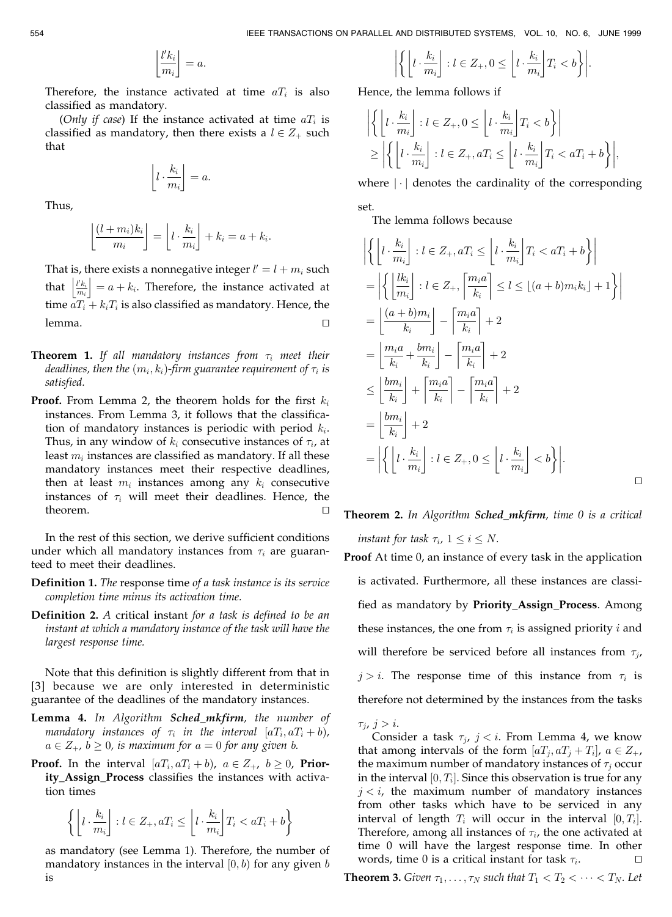$$
\left\lfloor\frac{l'k_i}{m_i}\right\rfloor=a.
$$

Therefore, the instance activated at time  $aT_i$  is also classified as mandatory.

(Only if case) If the instance activated at time  $aT_i$  is classified as mandatory, then there exists a  $l \in Z_+$  such that

$$
\left\lfloor l \cdot \frac{k_i}{m_i} \right\rfloor = a.
$$

Thus,

$$
\left\lfloor \frac{(l+m_i)k_i}{m_i} \right\rfloor = \left\lfloor l \cdot \frac{k_i}{m_i} \right\rfloor + k_i = a + k_i.
$$

That is, there exists a nonnegative integer  $l' = l + m_i$  such that  $\left|\frac{t k_i}{m_i}\right| = a + k_i$ . Therefore, the instance activated at time  $aT_i + k_iT_i$  is also classified as mandatory. Hence, the  $l$ emma. tu $\Box$ 

- **Theorem 1.** If all mandatory instances from  $\tau_i$  meet their deadlines, then the  $(m_i, k_i)$ -firm guarantee requirement of  $\tau_i$  is satisfied.
- **Proof.** From Lemma 2, the theorem holds for the first  $k_i$ instances. From Lemma 3, it follows that the classification of mandatory instances is periodic with period  $k_i$ . Thus, in any window of  $k_i$  consecutive instances of  $\tau_i$ , at least  $m_i$  instances are classified as mandatory. If all these mandatory instances meet their respective deadlines, then at least  $m_i$  instances among any  $k_i$  consecutive instances of  $\tau_i$  will meet their deadlines. Hence, the theorem.  $\Box$

In the rest of this section, we derive sufficient conditions under which all mandatory instances from  $\tau_i$  are guaranteed to meet their deadlines.

- Definition 1. The response time of a task instance is its service completion time minus its activation time.
- **Definition 2.** A critical instant for a task is defined to be an instant at which a mandatory instance of the task will have the largest response time.

Note that this definition is slightly different from that in [3] because we are only interested in deterministic guarantee of the deadlines of the mandatory instances.

- Lemma 4. In Algorithm Sched\_mkfirm, the number of mandatory instances of  $\tau_i$  in the interval  $[aT_i, aT_i + b)$ ,  $a \in Z_+$ ,  $b \ge 0$ , is maximum for  $a = 0$  for any given b.
- **Proof.** In the interval  $[aT_i, aT_i + b]$ ,  $a \in Z_+$ ,  $b \ge 0$ , **Prior**ity\_Assign\_Process classifies the instances with activation times

$$
\left\{ \left\lfloor l \cdot \frac{k_i}{m_i} \right\rfloor : l \in Z_+, aT_i \le \left\lfloor l \cdot \frac{k_i}{m_i} \right\rfloor T_i < aT_i + b \right\}
$$

as mandatory (see Lemma 1). Therefore, the number of mandatory instances in the interval  $[0, b)$  for any given b is

$$
\left| \left\{ \left[ l \cdot \frac{k_i}{m_i} \right] : l \in Z_+, 0 \le \left[ l \cdot \frac{k_i}{m_i} \right] T_i < b \right\} \right|.
$$

Hence, the lemma follows if

$$
\left| \left\{ \left[ l \cdot \frac{k_i}{m_i} \right] : l \in Z_+, 0 \le \left[ l \cdot \frac{k_i}{m_i} \right] T_i < b \right\} \right|
$$
\n
$$
\ge \left| \left\{ \left[ l \cdot \frac{k_i}{m_i} \right] : l \in Z_+, a T_i \le \left[ l \cdot \frac{k_i}{m_i} \right] T_i < a T_i + b \right\} \right|,
$$

where  $|\cdot|$  denotes the cardinality of the corresponding set.

The lemma follows because

$$
\left| \left\{ \left[ l \cdot \frac{k_i}{m_i} \right] : l \in Z_+, aT_i \le \left[ l \cdot \frac{k_i}{m_i} \right] T_i < aT_i + b \right\} \right|
$$
\n
$$
= \left| \left\{ \left[ \frac{lk_i}{m_i} \right] : l \in Z_+, \left[ \frac{m_i a}{k_i} \right] \le l \le \lfloor (a+b)m_i k_i \rfloor + 1 \right\} \right|
$$
\n
$$
= \left| \frac{(a+b)m_i}{k_i} \right| - \left| \frac{m_i a}{k_i} \right| + 2
$$
\n
$$
= \left| \frac{m_i a}{k_i} + \frac{bm_i}{k_i} \right| - \left| \frac{m_i a}{k_i} \right| + 2
$$
\n
$$
\le \left| \frac{bm_i}{k_i} \right| + \left| \frac{m_i a}{k_i} \right| - \left| \frac{m_i a}{k_i} \right| + 2
$$
\n
$$
= \left| \frac{bm_i}{k_i} \right| + 2
$$
\n
$$
= \left| \left\{ \left[ l \cdot \frac{k_i}{m_i} \right] : l \in Z_+, 0 \le \left[ l \cdot \frac{k_i}{m_i} \right] < b \right\} \right|.
$$

**Theorem 2.** In Algorithm **Sched\_mkfirm**, time 0 is a critical instant for task  $\tau_i$ ,  $1 \le i \le N$ .

 $\Box$ 

- Proof At time 0, an instance of every task in the application is activated. Furthermore, all these instances are classified as mandatory by Priority\_Assign\_Process. Among these instances, the one from  $\tau_i$  is assigned priority *i* and will therefore be serviced before all instances from  $\tau_{i}$ ,  $j>i$ . The response time of this instance from  $\tau_i$  is therefore not determined by the instances from the tasks
	- $\tau_i$ ,  $j>i$ .

Consider a task  $\tau_j$ ,  $j < i$ . From Lemma 4, we know that among intervals of the form  $[aT_i, aT_i + T_i]$ ,  $a \in Z_+$ , the maximum number of mandatory instances of  $\tau_i$  occur in the interval  $[0, T_i]$ . Since this observation is true for any  $j < i$ , the maximum number of mandatory instances from other tasks which have to be serviced in any interval of length  $T_i$  will occur in the interval  $[0, T_i]$ . Therefore, among all instances of  $\tau_i$ , the one activated at time 0 will have the largest response time. In other words, time 0 is a critical instant for task  $\tau_i$ .

**Theorem 3.** Given  $\tau_1, \ldots, \tau_N$  such that  $T_1 < T_2 < \cdots < T_N$ . Let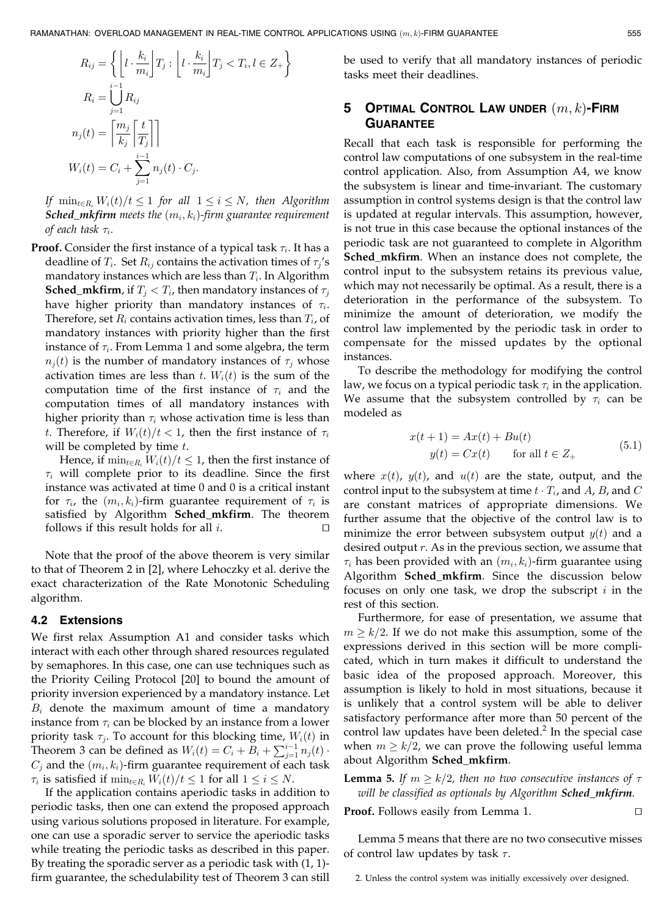$$
R_{ij} = \left\{ \left\lfloor l \cdot \frac{k_i}{m_i} \right\rfloor T_j : \left\lfloor l \cdot \frac{k_i}{m_i} \right\rfloor T_j < T_i, l \in Z_+ \right\}
$$
\n
$$
R_i = \bigcup_{j=1}^{i-1} R_{ij}
$$
\n
$$
n_j(t) = \left\lceil \frac{m_j}{k_j} \left\lceil \frac{t}{T_j} \right\rceil \right\rceil
$$
\n
$$
W_i(t) = C_i + \sum_{j=1}^{i-1} n_j(t) \cdot C_j.
$$

If  $\min_{t \in R_i} W_i(t)/t \leq 1$  for all  $1 \leq i \leq N$ , then Algorithm **Sched\_mkfirm** meets the  $(m_i, k_i)$ -firm guarantee requirement of each task  $\tau_i$ .

**Proof.** Consider the first instance of a typical task  $\tau_i$ . It has a deadline of  $T_i$ . Set  $R_{ij}$  contains the activation times of  $\tau_j$ 's mandatory instances which are less than  $T_i$ . In Algorithm **Sched\_mkfirm,** if  $T_i < T_i$ , then mandatory instances of  $\tau_i$ have higher priority than mandatory instances of  $\tau_i$ . Therefore, set  $R_i$  contains activation times, less than  $T_i$ , of mandatory instances with priority higher than the first instance of  $\tau_i$ . From Lemma 1 and some algebra, the term  $n_j(t)$  is the number of mandatory instances of  $\tau_j$  whose activation times are less than t.  $W_i(t)$  is the sum of the computation time of the first instance of  $\tau_i$  and the computation times of all mandatory instances with higher priority than  $\tau_i$  whose activation time is less than t. Therefore, if  $W_i(t)/t < 1$ , then the first instance of  $\tau_i$ will be completed by time  $t$ .

Hence, if  $\min_{t \in R_i} W_i(t)/t \leq 1$ , then the first instance of  $\tau_i$  will complete prior to its deadline. Since the first instance was activated at time 0 and 0 is a critical instant for  $\tau_i$ , the  $(m_i, k_i)$ -firm guarantee requirement of  $\tau_i$  is satisfied by Algorithm Sched\_mkfirm. The theorem follows if this result holds for all  $i$ .

Note that the proof of the above theorem is very similar to that of Theorem 2 in [2], where Lehoczky et al. derive the exact characterization of the Rate Monotonic Scheduling algorithm.

#### 4.2 Extensions

We first relax Assumption A1 and consider tasks which interact with each other through shared resources regulated by semaphores. In this case, one can use techniques such as the Priority Ceiling Protocol [20] to bound the amount of priority inversion experienced by a mandatory instance. Let  $B_i$  denote the maximum amount of time a mandatory instance from  $\tau_i$  can be blocked by an instance from a lower priority task  $\tau_i$ . To account for this blocking time,  $W_i(t)$  in Theorem 3 can be defined as  $W_i(t) = C_i + \overline{B}_i + \sum_{j=1}^{i-1} n_j(t)$ .  $C_j$  and the  $(m_i, k_i)$ -firm guarantee requirement of each task  $\tau_i$  is satisfied if  $\min_{t \in R_i} W_i(t)/t \leq 1$  for all  $1 \leq i \leq N$ .

If the application contains aperiodic tasks in addition to periodic tasks, then one can extend the proposed approach using various solutions proposed in literature. For example, one can use a sporadic server to service the aperiodic tasks while treating the periodic tasks as described in this paper. By treating the sporadic server as a periodic task with (1, 1) firm guarantee, the schedulability test of Theorem 3 can still be used to verify that all mandatory instances of periodic tasks meet their deadlines.

# 5 OPTIMAL CONTROL LAW UNDER  $(m, k)$ -FIRM **GUARANTEE**

Recall that each task is responsible for performing the control law computations of one subsystem in the real-time control application. Also, from Assumption A4, we know the subsystem is linear and time-invariant. The customary assumption in control systems design is that the control law is updated at regular intervals. This assumption, however, is not true in this case because the optional instances of the periodic task are not guaranteed to complete in Algorithm Sched\_mkfirm. When an instance does not complete, the control input to the subsystem retains its previous value, which may not necessarily be optimal. As a result, there is a deterioration in the performance of the subsystem. To minimize the amount of deterioration, we modify the control law implemented by the periodic task in order to compensate for the missed updates by the optional instances.

To describe the methodology for modifying the control law, we focus on a typical periodic task  $\tau_i$  in the application. We assume that the subsystem controlled by  $\tau_i$  can be modeled as

$$
x(t+1) = Ax(t) + Bu(t)
$$
  

$$
y(t) = Cx(t) \qquad \text{for all } t \in Z_+
$$
 (5.1)

where  $x(t)$ ,  $y(t)$ , and  $u(t)$  are the state, output, and the control input to the subsystem at time  $t \cdot T_i$ , and A, B, and C are constant matrices of appropriate dimensions. We further assume that the objective of the control law is to minimize the error between subsystem output  $y(t)$  and a desired output  $r$ . As in the previous section, we assume that  $\tau_i$  has been provided with an  $(m_i, k_i)$ -firm guarantee using Algorithm Sched\_mkfirm. Since the discussion below focuses on only one task, we drop the subscript  $i$  in the rest of this section.

Furthermore, for ease of presentation, we assume that  $m \geq k/2$ . If we do not make this assumption, some of the expressions derived in this section will be more complicated, which in turn makes it difficult to understand the basic idea of the proposed approach. Moreover, this assumption is likely to hold in most situations, because it is unlikely that a control system will be able to deliver satisfactory performance after more than 50 percent of the control law updates have been deleted. $<sup>2</sup>$  In the special case</sup> when  $m \geq k/2$ , we can prove the following useful lemma about Algorithm Sched\_mkfirm.

**Lemma 5.** If  $m \geq k/2$ , then no two consecutive instances of  $\tau$ will be classified as optionals by Algorithm Sched\_mkfirm.

**Proof.** Follows easily from Lemma 1.  $\Box$ 

Lemma 5 means that there are no two consecutive misses of control law updates by task  $\tau$ .

<sup>2.</sup> Unless the control system was initially excessively over designed.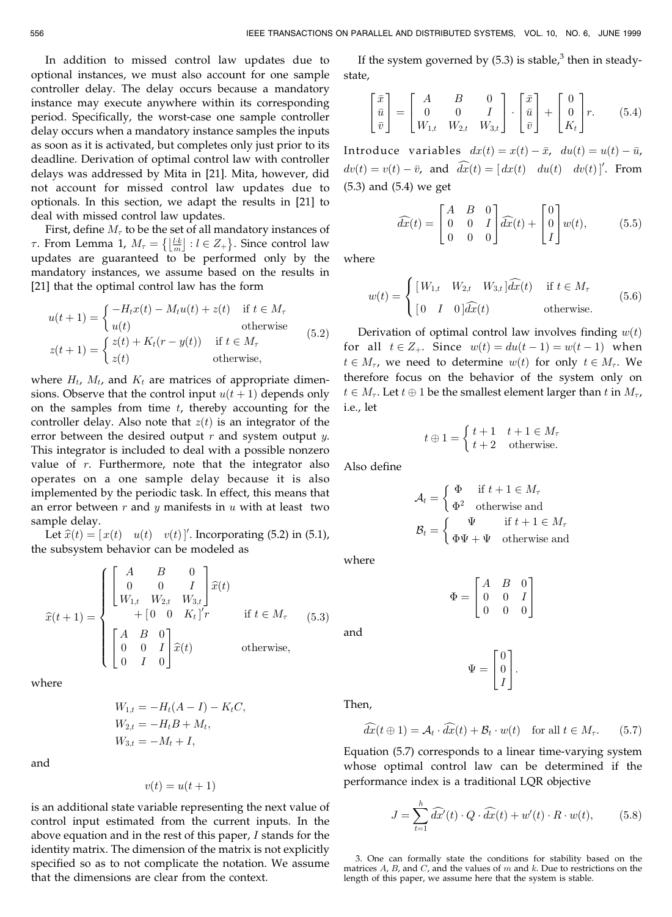In addition to missed control law updates due to optional instances, we must also account for one sample controller delay. The delay occurs because a mandatory instance may execute anywhere within its corresponding period. Specifically, the worst-case one sample controller delay occurs when a mandatory instance samples the inputs as soon as it is activated, but completes only just prior to its deadline. Derivation of optimal control law with controller delays was addressed by Mita in [21]. Mita, however, did not account for missed control law updates due to optionals. In this section, we adapt the results in [21] to deal with missed control law updates.

First, define  $M_{\tau}$  to be the set of all mandatory instances of  $\tau$ . From Lemma 1,  $M_{\tau} = \{ \lfloor \frac{l \cdot k}{m} \rfloor : l \in Z_+ \}$ . Since control law updates are guaranteed to be performed only by the mandatory instances, we assume based on the results in [21] that the optimal control law has the form

$$
u(t+1) = \begin{cases} -H_t x(t) - M_t u(t) + z(t) & \text{if } t \in M_\tau \\ u(t) & \text{otherwise} \end{cases}
$$
  
\n
$$
z(t+1) = \begin{cases} z(t) + K_t (r - y(t)) & \text{if } t \in M_\tau \\ z(t) & \text{otherwise} \end{cases}
$$
 (5.2)

where  $H_t$ ,  $M_t$ , and  $K_t$  are matrices of appropriate dimensions. Observe that the control input  $u(t + 1)$  depends only on the samples from time  $t$ , thereby accounting for the controller delay. Also note that  $z(t)$  is an integrator of the error between the desired output  $r$  and system output  $y$ . This integrator is included to deal with a possible nonzero value of  $r$ . Furthermore, note that the integrator also operates on a one sample delay because it is also implemented by the periodic task. In effect, this means that an error between  $r$  and  $y$  manifests in  $u$  with at least two sample delay.

Let  $\hat{x}(t) = [x(t) \quad u(t) \quad v(t)]'$ . Incorporating (5.2) in (5.1), the subsystem behavior can be modeled as

$$
\hat{x}(t+1) = \begin{cases}\n\begin{bmatrix}\nA & B & 0 \\
0 & 0 & I \\
W_{1,t} & W_{2,t} & W_{3,t}\n\end{bmatrix}\n\hat{x}(t) \\
+ \begin{bmatrix}\n0 & 0 & K_t\n\end{bmatrix}'r & \text{if } t \in M_\tau \quad (5.3) \\
\begin{bmatrix}\nA & B & 0 \\
0 & 0 & I \\
0 & I & 0\n\end{bmatrix}\n\hat{x}(t) & \text{otherwise,} \n\end{cases}
$$

where

$$
W_{1,t} = -H_t(A - I) - K_tC,
$$
  
\n
$$
W_{2,t} = -H_tB + M_t,
$$
  
\n
$$
W_{3,t} = -M_t + I,
$$

and

$$
v(t) = u(t+1)
$$

is an additional state variable representing the next value of control input estimated from the current inputs. In the above equation and in the rest of this paper, I stands for the identity matrix. The dimension of the matrix is not explicitly specified so as to not complicate the notation. We assume that the dimensions are clear from the context.

If the system governed by  $(5.3)$  is stable,<sup>3</sup> then in steadystate,

$$
\begin{bmatrix} \bar{x} \\ \bar{u} \\ \bar{v} \end{bmatrix} = \begin{bmatrix} A & B & 0 \\ 0 & 0 & I \\ W_{1,t} & W_{2,t} & W_{3,t} \end{bmatrix} \cdot \begin{bmatrix} \bar{x} \\ \bar{u} \\ \bar{v} \end{bmatrix} + \begin{bmatrix} 0 \\ 0 \\ K_t \end{bmatrix} r.
$$
 (5.4)

Introduce variables  $dx(t) = x(t) - \bar{x}$ ,  $du(t) = u(t) - \bar{u}$ ,  $dv(t) = v(t) - \bar{v}$ , and  $\widehat{dx}(t) = [dx(t) \quad du(t) \quad dv(t)]'$ . From (5.3) and (5.4) we get

$$
\widehat{dx}(t) = \begin{bmatrix} A & B & 0 \\ 0 & 0 & I \\ 0 & 0 & 0 \end{bmatrix} \widehat{dx}(t) + \begin{bmatrix} 0 \\ 0 \\ I \end{bmatrix} w(t), \tag{5.5}
$$

where

$$
w(t) = \begin{cases} [W_{1,t} & W_{2,t} & W_{3,t} \, d\widehat{x}(t) & \text{if } t \in M_{\tau} \\ [0 & I & 0 \, d\widehat{x}(t) \end{cases}
$$
 otherwise. (5.6)

Derivation of optimal control law involves finding  $w(t)$ for all  $t \in Z_+$ . Since  $w(t) = du(t - 1) = w(t - 1)$  when  $t \in M_{\tau}$ , we need to determine  $w(t)$  for only  $t \in M_{\tau}$ . We therefore focus on the behavior of the system only on  $t \in M_{\tau}$ . Let  $t \oplus 1$  be the smallest element larger than t in  $M_{\tau}$ , i.e., let

$$
t\oplus 1=\left\{\begin{matrix} t+1 & t+1\in M_\tau \\ t+2 & \text{otherwise.} \end{matrix}\right.
$$

Also define

$$
\mathcal{A}_t = \begin{cases} \Phi & \text{if } t + 1 \in M_\tau \\ \Phi^2 & \text{otherwise and} \end{cases}
$$

$$
\mathcal{B}_t = \begin{cases} \Psi & \text{if } t + 1 \in M_\tau \\ \Phi \Psi + \Psi & \text{otherwise and} \end{cases}
$$

where

$$
\Phi = \begin{bmatrix} A & B & 0 \\ 0 & 0 & I \\ 0 & 0 & 0 \end{bmatrix}
$$

$$
\Psi = \begin{bmatrix} 0 \\ 0 \\ I \end{bmatrix}.
$$

Then,

and

$$
\widehat{dx}(t \oplus 1) = \mathcal{A}_t \cdot \widehat{dx}(t) + \mathcal{B}_t \cdot w(t) \quad \text{for all } t \in M_\tau. \tag{5.7}
$$

Equation (5.7) corresponds to a linear time-varying system whose optimal control law can be determined if the performance index is a traditional LQR objective

$$
J = \sum_{t=1}^{h} \widehat{dx}'(t) \cdot Q \cdot \widehat{dx}(t) + w'(t) \cdot R \cdot w(t), \qquad (5.8)
$$

3. One can formally state the conditions for stability based on the matrices  $A$ ,  $B$ , and  $C$ , and the values of  $m$  and  $k$ . Due to restrictions on the length of this paper, we assume here that the system is stable.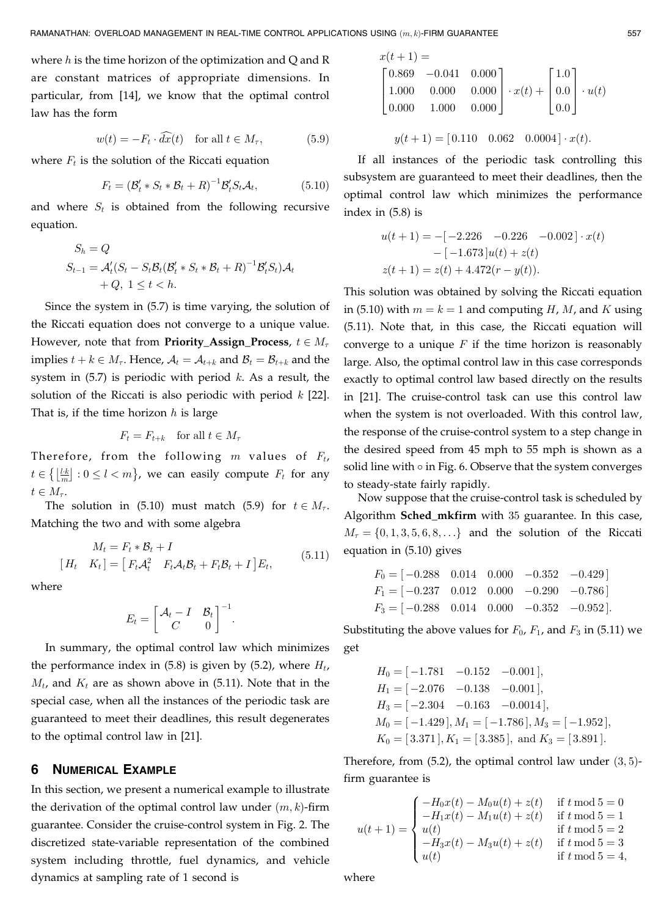where  $h$  is the time horizon of the optimization and Q and R are constant matrices of appropriate dimensions. In particular, from [14], we know that the optimal control law has the form

$$
w(t) = -F_t \cdot \overline{dx}(t) \quad \text{for all } t \in M_\tau,
$$
 (5.9)

where  $F_t$  is the solution of the Riccati equation

$$
F_t = (\mathcal{B}'_t * S_t * \mathcal{B}_t + R)^{-1} \mathcal{B}'_t S_t \mathcal{A}_t, \qquad (5.10)
$$

and where  $S_t$  is obtained from the following recursive equation.

$$
S_h = Q
$$
  
\n
$$
S_{t-1} = \mathcal{A}'_t (S_t - S_t \mathcal{B}_t (\mathcal{B}'_t * S_t * \mathcal{B}_t + R)^{-1} \mathcal{B}'_t S_t) \mathcal{A}_t
$$
  
\n
$$
+ Q, 1 \le t < h.
$$

Since the system in (5.7) is time varying, the solution of the Riccati equation does not converge to a unique value. However, note that from **Priority\_Assign\_Process**,  $t \in M_\tau$ implies  $t + k \in M_{\tau}$ . Hence,  $A_t = A_{t+k}$  and  $B_t = B_{t+k}$  and the system in  $(5.7)$  is periodic with period k. As a result, the solution of the Riccati is also periodic with period  $k$  [22]. That is, if the time horizon  $h$  is large

$$
F_t = F_{t+k} \quad \text{for all } t \in M_\tau
$$

Therefore, from the following  $m$  values of  $F_t$ ,  $t \in \left\{ \left\lfloor \frac{lk}{m} \right\rfloor : 0 \leq l < m \right\}$ , we can easily compute  $F_t$  for any  $t \in M_{\tau}$ .

The solution in (5.10) must match (5.9) for  $t \in M_\tau$ . Matching the two and with some algebra

$$
M_t = F_t * \mathcal{B}_t + I
$$
  
\n
$$
[H_t \quad K_t] = [F_t \mathcal{A}_t^2 \quad F_t \mathcal{A}_t \mathcal{B}_t + F_t \mathcal{B}_t + I] E_t,
$$
\n(5.11)

where

$$
E_t = \begin{bmatrix} \mathcal{A}_t - I & \mathcal{B}_t \\ C & 0 \end{bmatrix}^{-1}.
$$

In summary, the optimal control law which minimizes the performance index in  $(5.8)$  is given by  $(5.2)$ , where  $H_t$ ,  $M_t$ , and  $K_t$  are as shown above in (5.11). Note that in the special case, when all the instances of the periodic task are guaranteed to meet their deadlines, this result degenerates to the optimal control law in [21].

#### 6 NUMERICAL EXAMPLE

In this section, we present a numerical example to illustrate the derivation of the optimal control law under  $(m, k)$ -firm guarantee. Consider the cruise-control system in Fig. 2. The discretized state-variable representation of the combined system including throttle, fuel dynamics, and vehicle dynamics at sampling rate of 1 second is

$$
x(t+1) =
$$
  
\n
$$
\begin{bmatrix}\n0.869 & -0.041 & 0.000 \\
1.000 & 0.000 & 0.000 \\
0.000 & 1.000 & 0.000\n\end{bmatrix} \cdot x(t) + \begin{bmatrix}\n1.0 \\
0.0 \\
0.0\n\end{bmatrix} \cdot u(t)
$$

 $y(t + 1) = [0.110 \quad 0.062 \quad 0.0004] \cdot x(t).$ 

If all instances of the periodic task controlling this subsystem are guaranteed to meet their deadlines, then the optimal control law which minimizes the performance index in (5.8) is

$$
u(t+1) = -[-2.226 -0.226 -0.002] \cdot x(t)
$$

$$
-[-1.673]u(t) + z(t)
$$

$$
z(t+1) = z(t) + 4.472(r - y(t)).
$$

This solution was obtained by solving the Riccati equation in (5.10) with  $m = k = 1$  and computing H, M, and K using (5.11). Note that, in this case, the Riccati equation will converge to a unique  $F$  if the time horizon is reasonably large. Also, the optimal control law in this case corresponds exactly to optimal control law based directly on the results in [21]. The cruise-control task can use this control law when the system is not overloaded. With this control law, the response of the cruise-control system to a step change in the desired speed from 45 mph to 55 mph is shown as a solid line with  $\circ$  in Fig. 6. Observe that the system converges to steady-state fairly rapidly.

Now suppose that the cruise-control task is scheduled by Algorithm Sched\_mkfirm with 35 guarantee. In this case,  $M_{\tau} = \{0, 1, 3, 5, 6, 8, \ldots\}$  and the solution of the Riccati equation in (5.10) gives

$$
F_0 = [-0.288 \quad 0.014 \quad 0.000 \quad -0.352 \quad -0.429]
$$
  
\n
$$
F_1 = [-0.237 \quad 0.012 \quad 0.000 \quad -0.290 \quad -0.786]
$$
  
\n
$$
F_3 = [-0.288 \quad 0.014 \quad 0.000 \quad -0.352 \quad -0.952].
$$

Substituting the above values for  $F_0$ ,  $F_1$ , and  $F_3$  in (5.11) we get

$$
H_0 = [-1.781 \quad -0.152 \quad -0.001],
$$
  
\n
$$
H_1 = [-2.076 \quad -0.138 \quad -0.001],
$$
  
\n
$$
H_3 = [-2.304 \quad -0.163 \quad -0.0014],
$$
  
\n
$$
M_0 = [-1.429], M_1 = [-1.786], M_3 = [-1.952],
$$
  
\n
$$
K_0 = [3.371], K_1 = [3.385],
$$
 and  $K_3 = [3.891].$ 

Therefore, from  $(5.2)$ , the optimal control law under  $(3, 5)$ firm guarantee is

$$
u(t+1) = \begin{cases}\n-H_0x(t) - M_0u(t) + z(t) & \text{if } t \text{ mod } 5 = 0 \\
-H_1x(t) - M_1u(t) + z(t) & \text{if } t \text{ mod } 5 = 1 \\
u(t) & \text{if } t \text{ mod } 5 = 2 \\
-H_3x(t) - M_3u(t) + z(t) & \text{if } t \text{ mod } 5 = 3 \\
u(t) & \text{if } t \text{ mod } 5 = 4\n\end{cases}
$$

where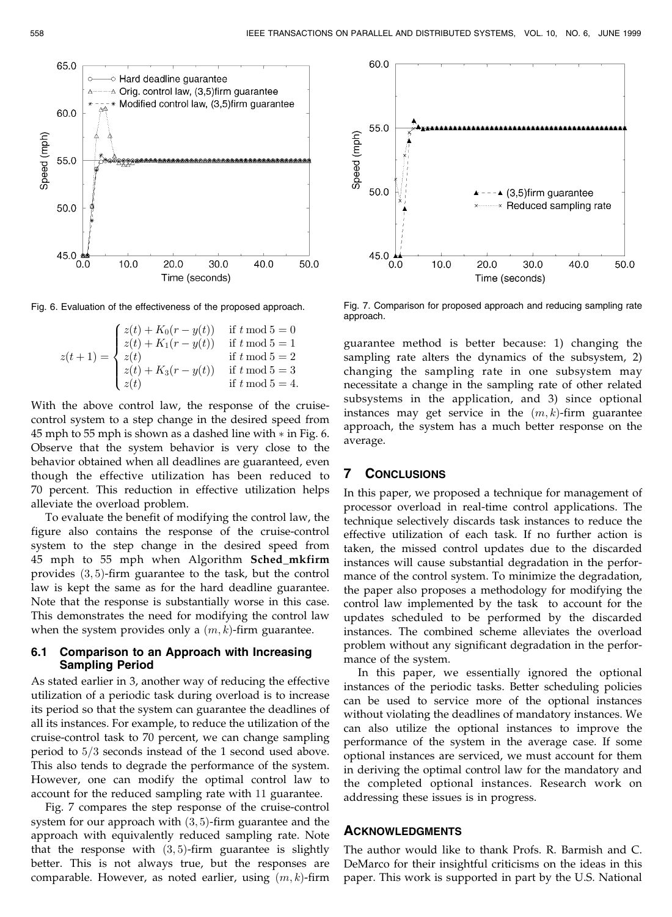

 $z(t + 1) =$  $z(t) + K_0(r - y(t))$  if  $t \mod 5 = 0$  $z(t) + K_1(r - y(t))$  if  $t \mod 5 = 1$  $z(t)$  if  $t \mod 5 = 2$  $z(t) + K_3(r - y(t))$  if  $t \mod 5 = 3$  $z(t)$  if  $t \mod 5 = 4$ .  $\sqrt{2}$  $\Big\}$  $\vert$ 

With the above control law, the response of the cruisecontrol system to a step change in the desired speed from 45 mph to 55 mph is shown as a dashed line with  $*$  in Fig. 6. Observe that the system behavior is very close to the behavior obtained when all deadlines are guaranteed, even though the effective utilization has been reduced to 70 percent. This reduction in effective utilization helps alleviate the overload problem.

To evaluate the benefit of modifying the control law, the figure also contains the response of the cruise-control system to the step change in the desired speed from 45 mph to 55 mph when Algorithm Sched\_mkfirm provides  $(3, 5)$ -firm guarantee to the task, but the control law is kept the same as for the hard deadline guarantee. Note that the response is substantially worse in this case. This demonstrates the need for modifying the control law when the system provides only a  $(m, k)$ -firm guarantee.

#### 6.1 Comparison to an Approach with Increasing Sampling Period

As stated earlier in 3, another way of reducing the effective utilization of a periodic task during overload is to increase its period so that the system can guarantee the deadlines of all its instances. For example, to reduce the utilization of the cruise-control task to 70 percent, we can change sampling period to  $5/3$  seconds instead of the 1 second used above. This also tends to degrade the performance of the system. However, one can modify the optimal control law to account for the reduced sampling rate with 11 guarantee.

Fig. 7 compares the step response of the cruise-control system for our approach with  $(3, 5)$ -firm guarantee and the approach with equivalently reduced sampling rate. Note that the response with  $(3, 5)$ -firm guarantee is slightly better. This is not always true, but the responses are comparable. However, as noted earlier, using  $(m, k)$ -firm



Fig. 6. Evaluation of the effectiveness of the proposed approach. Fig. 7. Comparison for proposed approach and reducing sampling rate approach.

guarantee method is better because: 1) changing the sampling rate alters the dynamics of the subsystem, 2) changing the sampling rate in one subsystem may necessitate a change in the sampling rate of other related subsystems in the application, and 3) since optional instances may get service in the  $(m, k)$ -firm guarantee approach, the system has a much better response on the average.

## 7 CONCLUSIONS

In this paper, we proposed a technique for management of processor overload in real-time control applications. The technique selectively discards task instances to reduce the effective utilization of each task. If no further action is taken, the missed control updates due to the discarded instances will cause substantial degradation in the performance of the control system. To minimize the degradation, the paper also proposes a methodology for modifying the control law implemented by the task to account for the updates scheduled to be performed by the discarded instances. The combined scheme alleviates the overload problem without any significant degradation in the performance of the system.

In this paper, we essentially ignored the optional instances of the periodic tasks. Better scheduling policies can be used to service more of the optional instances without violating the deadlines of mandatory instances. We can also utilize the optional instances to improve the performance of the system in the average case. If some optional instances are serviced, we must account for them in deriving the optimal control law for the mandatory and the completed optional instances. Research work on addressing these issues is in progress.

#### ACKNOWLEDGMENTS

The author would like to thank Profs. R. Barmish and C. DeMarco for their insightful criticisms on the ideas in this paper. This work is supported in part by the U.S. National